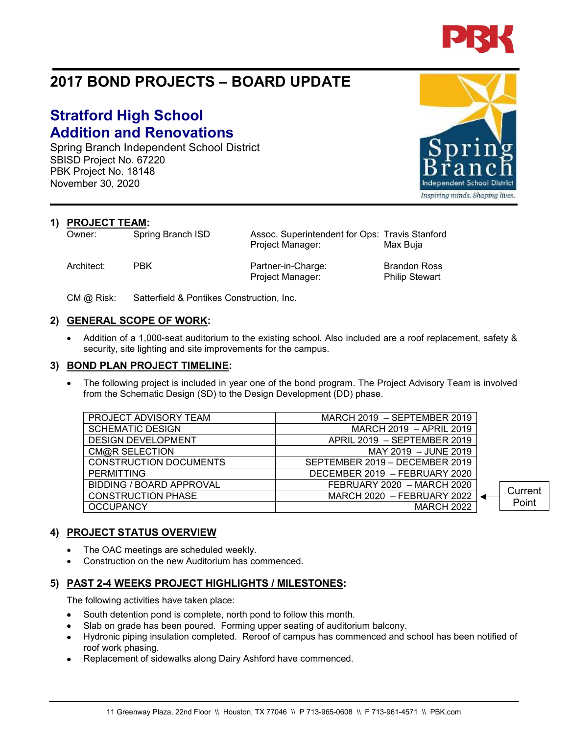

# **2017 BOND PROJECTS – BOARD UPDATE**

# **Stratford High School Addition and Renovations**

Spring Branch Independent School District SBISD Project No. 67220 PBK Project No. 18148 November 30, 2020

**1) PROJECT TEAM:**<br>Owner: Spring Branch ISD

Architect: PBK Partner-in-Charge: Brandon Ross

Project Manager: Philip Stewart

Assoc. Superintendent for Ops: Travis Stanford Project Manager: Max Buja

CM @ Risk: Satterfield & Pontikes Construction, Inc.

### **2) GENERAL SCOPE OF WORK:**

• Addition of a 1,000-seat auditorium to the existing school. Also included are a roof replacement, safety & security, site lighting and site improvements for the campus.

#### **3) BOND PLAN PROJECT TIMELINE:**

The following project is included in year one of the bond program. The Project Advisory Team is involved from the Schematic Design (SD) to the Design Development (DD) phase.

| PROJECT ADVISORY TEAM           | MARCH 2019 - SEPTEMBER 2019    |         |
|---------------------------------|--------------------------------|---------|
| <b>SCHEMATIC DESIGN</b>         | MARCH 2019 - APRIL 2019        |         |
| <b>DESIGN DEVELOPMENT</b>       | APRIL 2019 - SEPTEMBER 2019    |         |
| CM@R SELECTION                  | MAY 2019 - JUNE 2019           |         |
| <b>CONSTRUCTION DOCUMENTS</b>   | SEPTEMBER 2019 - DECEMBER 2019 |         |
| PERMITTING                      | DECEMBER 2019 - FEBRUARY 2020  |         |
| <b>BIDDING / BOARD APPROVAL</b> | FEBRUARY 2020 - MARCH 2020     | Current |
| <b>CONSTRUCTION PHASE</b>       | MARCH 2020 - FEBRUARY 2022     |         |
| <b>OCCUPANCY</b>                | <b>MARCH 2022</b>              | Point   |
|                                 |                                |         |

### **4) PROJECT STATUS OVERVIEW**

- The OAC meetings are scheduled weekly.
- Construction on the new Auditorium has commenced.

## **5) PAST 2-4 WEEKS PROJECT HIGHLIGHTS / MILESTONES:**

The following activities have taken place:

- South detention pond is complete, north pond to follow this month.
- Slab on grade has been poured. Forming upper seating of auditorium balcony.
- Hydronic piping insulation completed. Reroof of campus has commenced and school has been notified of roof work phasing.
- Replacement of sidewalks along Dairy Ashford have commenced.



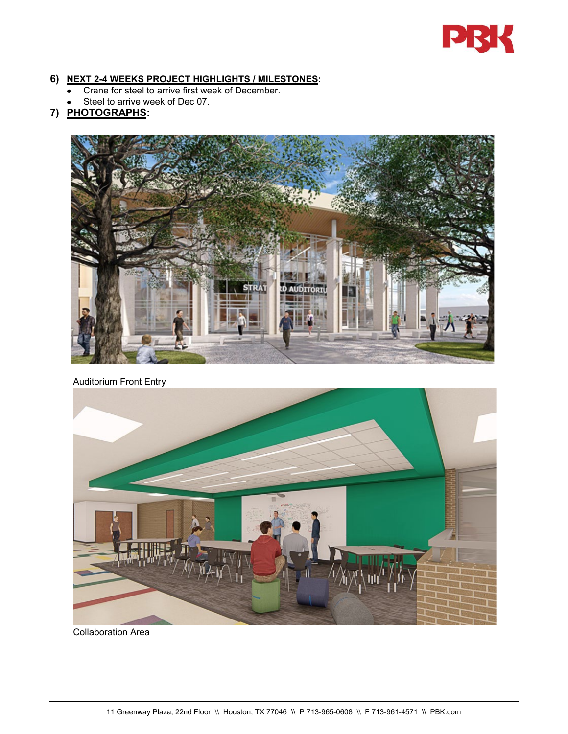

#### **6) NEXT 2-4 WEEKS PROJECT HIGHLIGHTS / MILESTONES:**

- Crane for steel to arrive first week of December.
- Steel to arrive week of Dec 07.

## **7) PHOTOGRAPHS:**



Auditorium Front Entry



Collaboration Area